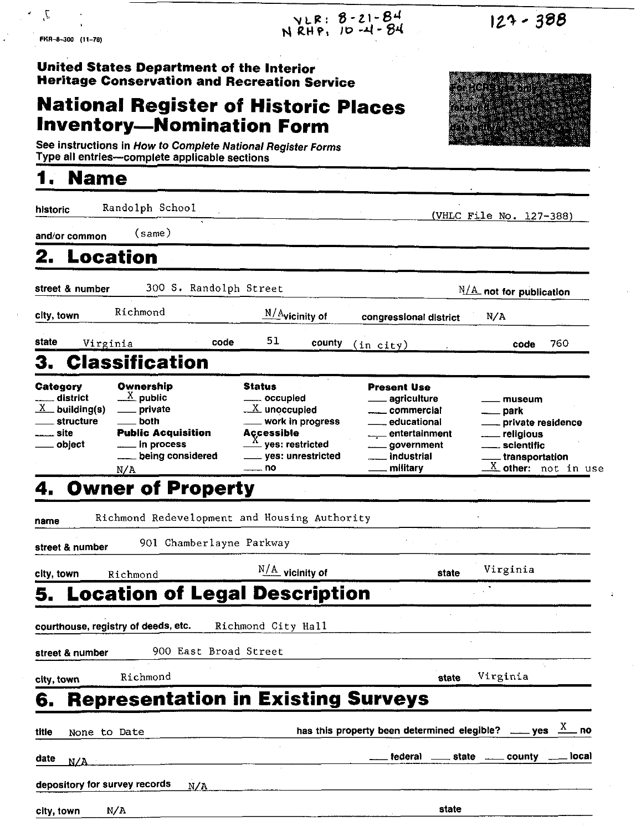| J,<br>FRA-8-300 (11-78)                                                   |                                                                                                                            | VLR: 8-21-84<br>NRHP: 10-4-84                                                                                                                                                                        |                                                                                                                             | $123 - 388$                                                                                                                     |
|---------------------------------------------------------------------------|----------------------------------------------------------------------------------------------------------------------------|------------------------------------------------------------------------------------------------------------------------------------------------------------------------------------------------------|-----------------------------------------------------------------------------------------------------------------------------|---------------------------------------------------------------------------------------------------------------------------------|
|                                                                           | United States Department of the Interior<br><b>Inventory-Nomination Form</b>                                               | <b>Heritage Conservation and Recreation Service</b><br><b>National Register of Historic Places</b><br>See instructions in How to Complete National Register Forms                                    |                                                                                                                             | DRFCTE MOON<br>ckine 2 r<br><b>ALLE AND RESERVE</b>                                                                             |
| <b>Name</b>                                                               | Type all entries--complete applicable sections                                                                             |                                                                                                                                                                                                      |                                                                                                                             |                                                                                                                                 |
| historic                                                                  | Randolph School                                                                                                            |                                                                                                                                                                                                      |                                                                                                                             | (VHLC File No. 127-388)                                                                                                         |
| and/or common                                                             | (same)                                                                                                                     |                                                                                                                                                                                                      |                                                                                                                             |                                                                                                                                 |
| 2. Location                                                               |                                                                                                                            |                                                                                                                                                                                                      |                                                                                                                             |                                                                                                                                 |
| street & number                                                           | 300 S. Randolph Street                                                                                                     |                                                                                                                                                                                                      |                                                                                                                             | $N/A$ not for publication                                                                                                       |
| city, town                                                                | Richmond                                                                                                                   | <u>N/A</u> vicinity of                                                                                                                                                                               | congressional district                                                                                                      | N/A                                                                                                                             |
| state<br>Virginia                                                         | code                                                                                                                       | 51<br>county                                                                                                                                                                                         | $(in\;city)$                                                                                                                | 760<br>code                                                                                                                     |
| З.                                                                        | <b>Classification</b>                                                                                                      |                                                                                                                                                                                                      |                                                                                                                             |                                                                                                                                 |
| Category<br>district<br>$X$ building(s)<br>structure<br>__ site<br>object | Ownership<br>$\frac{X}{A}$ public<br>private<br>both<br><b>Public Acquisition</b><br>in process<br>being considered<br>N/A | <b>Status</b><br>___ occupied<br>$\underline{\mathbf{X}}$ unoccupied<br>_ work in progress<br><b>Accessible</b><br>$\stackrel{\text{X}}{\text{}}$ yes: restricted<br>____ yes: unrestricted<br>—— no | <b>Present Use</b><br>agriculture<br>commercial<br>educational<br>___ entertainment<br>government<br>industrial<br>military | museum<br>. park<br>private residence<br>religious<br>_scientific<br>transportation.<br>$\overline{\text{X}}$ other: not in use |
|                                                                           | <b>Owner of Property</b>                                                                                                   |                                                                                                                                                                                                      |                                                                                                                             |                                                                                                                                 |
| name                                                                      |                                                                                                                            | Richmond Redevelopment and Housing Authority                                                                                                                                                         |                                                                                                                             |                                                                                                                                 |
| street & number                                                           | 901 Chamberlayne Parkway                                                                                                   |                                                                                                                                                                                                      |                                                                                                                             |                                                                                                                                 |
| city, town                                                                | Richmond                                                                                                                   | $N/A$ vicinity of                                                                                                                                                                                    | state                                                                                                                       | Virginia                                                                                                                        |
|                                                                           |                                                                                                                            | <b>Location of Legal Description</b>                                                                                                                                                                 |                                                                                                                             |                                                                                                                                 |
|                                                                           | courthouse, registry of deeds, etc.                                                                                        | Richmond City Hall                                                                                                                                                                                   |                                                                                                                             |                                                                                                                                 |
| street & number                                                           | 900 East Broad Street                                                                                                      |                                                                                                                                                                                                      |                                                                                                                             |                                                                                                                                 |
| city, town                                                                | Richmond                                                                                                                   |                                                                                                                                                                                                      | state                                                                                                                       | Virginia                                                                                                                        |
| 6.                                                                        |                                                                                                                            | <b>Representation in Existing Surveys</b>                                                                                                                                                            |                                                                                                                             |                                                                                                                                 |
| title<br>None to Date                                                     |                                                                                                                            |                                                                                                                                                                                                      |                                                                                                                             | has this property been determined elegible? ____ yes $\frac{X}{X}$ no                                                           |
| date<br>N/A                                                               |                                                                                                                            |                                                                                                                                                                                                      |                                                                                                                             | tederal ______ state ______ county _____ local                                                                                  |
|                                                                           |                                                                                                                            |                                                                                                                                                                                                      |                                                                                                                             |                                                                                                                                 |

 $\ddot{\cdot}$ 

 $\ddot{\cdot}$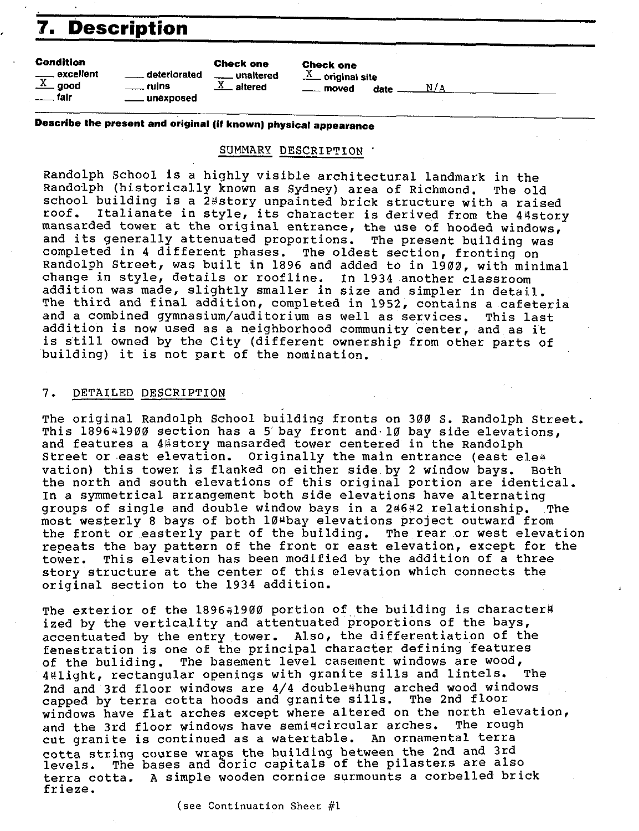## **7. Description**

#### **Condition**

\_excellent .lLgood \_fair

deteriorated \_\_ unaltered \_ ruins *lL\_* altered \_unexposed

**Check one** 

*lL\_* original site date  $\frac{N}{A}$ 

**Describe the present and original (if known) physical appearance** 

**Check one** 

#### SUMMARY DESCRIPTION'

Randolph School is a highly visible architectural landmark in the Randolph (historically known as Sydney) area of Richmond, The old school building is a 2\*story unpainted brick structure with a raised<br>roof, Italianate in style, its character is derived from the 44story Italianate in style, its character is derived from the 44story mansarded tower at the original entrance, the use of hooded windows, and its generally attenuated proportions. The present building was completed in 4 different phases, The oldest section, fronting on Randolph Street, was built in 1896 and added to in 1900, with minimal change in style, details or roofline. In 1934 another classroom addition was made, slightly smaller in size and simpler in detail. The third and final addition, completed in 1952, contains a cafeteria<br>and a combined gymnasium/auditorium as well as services. This last and a combined gymnasium/auditorium as well as services. addition is now used as a neighborhood community center, and as it is still owned by the City (different ownership from other parts of building) it is not part of the nomination,

#### 7, DETAILED DESCRIPTION

The original Randolph School building fronts on 300 s. Randolph Street. This  $1896*1900$  section has a 5 bay front and 10 bay side elevations, and features a 4 story mansarded tower centered in the Randolph Street or east elevation. Originally the main entrance (east ele<sup>4</sup> vation) this tower is flanked on either side by 2 window bays, Both the north and south elevations of this original portion are identical. In a symmetrical arrangement both side elevations have alternating groups of single and double window bays in a 2\*6\*2 relationship. The most westerly 8 bays of both 10<sup>µ</sup>bay elevations project outward from the front or easterly part of the building, The rear or west elevation repeats the bay pattern of the front or east elevation, except for the tower. This elevation has been modified by the addition of a three story structure at the center of this elevation which connects the original section to the 1934 addition.

The exterior of the  $1896*1900$  portion of the building is character# ized by the verticality and attentuated proportions of the bays, accentuated by the entry tower, Also, the differentiation of the fenestration is one of the principal character defining features of the buliding. The basement level casement windows are wood,<br>Aslight, rectangular openings with granite sills and lintels. The 44light, rectangular openings with granite sills and lintels. 2nd and 3rd floor windows are 4/4 double#hung arched wood windows capped by terra cotta hoods and granite sills. The 2nd floor windows have flat arches except where altered on the north elevation,<br>and the 3rd floor windows have semi#circular arches. The rough and the 3rd floor windows have semi#circular arches. cut granite is continued as a watertable, An ornamental terra cotta string course wraps the building between the 2nd and 3rd levels. The bases and doric capitals of the pilasters are also terracotta, A simple wooden cornice surmounts a corbelled brick frieze.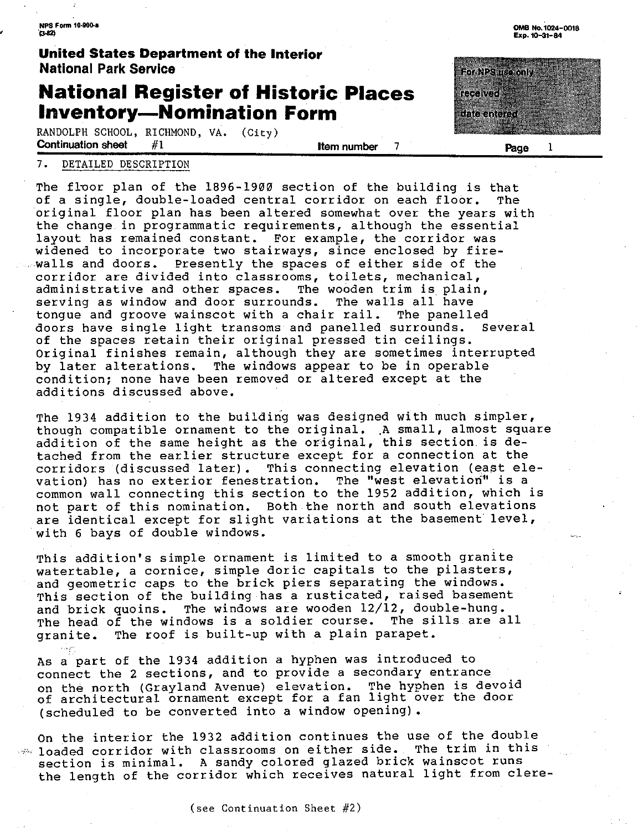**NPS Form 10-900-a**<br>CL82)

# ·- **United States Department of the Interior National Park Service**

### **National Register of Historic Places Inventory-Nomination Form**

RANDOLPH SCHOOL, RICHMOND, VA.  $(City)$ <br>**Continuation sheet** #1 **Continuation sheet** #1 **Item number** 7

**Both Les uso only** rozolvec ាក់សាលាស៊ីស៊ី

**Page** 1

#### 7. DETAILED DESCRIPTION

The floor plan of the 1896-1900 section of the building is that<br>of a single, double-loaded central corridor on each floor. The of a single, double-loaded central corridor on each floor. original floor plan has been altered somewhat over the years with the change in programmatic requirements, although the essential layout has remained constant. For example, the corridor was widened to incorporate two stairways, since enclosed by firewalls and doors. Presently the spaces of either side of the corridor are divided into classrooms, toilets, mechanical, administrative and other spaces. The wooden trim is plain, serving as window and door surrounds. The walls all have tongue and groove wainscot with a chair rail. The panelled doors have single light transoms and panelled surrounds. of the spaces retain their original pressed tin ceilings. Original finishes remain, although they are sometimes interrupted by later alterations. The windows appear to be in operable condition; none have been removed or altered except at the additions discussed above.

The 1934 addition to the building was designed with much simpler, though compatible ornament to the original. .A small, almost square addition of the same height as the original, this section. is detached from the earlier structure except for a connection at the corridors (discussed later). This connecting elevation (east ele-<br>vation) has no exterior fenestration. The "west elevation" is a vation) has no exterior fenestration. common wall connecting this section to the 1952 addition, which is not part of this nomination. Both the north and south elevations are identical except for slight variations at the basement level, with 6 bays of double windows.

This addition's simple ornament is limited to a smooth granite watertable, a cornice, simple doric capitals to the pilasters, and geometric caps to the brick piers separating the windows. This section of the building has a rusticated, raised basement and brick quoins. The windows are wooden 12/12, double-hung. The head of the windows is a soldier course. The sills are all granite. The roof is built-up with a plain parapet.

As a part of the 1934 addition a hyphen was introduced to connect the 2 sections, and to provide a secondary entrance on the north (Grayland Avenue) elevation. The hyphen is devoid of architectural ornament except for a fan light over the door (scheduled to be converted into a window opening).

On the interior the 1932 addition continues the use of the double  $\gg$  loaded corridor with classrooms on either side. The trim in this section is minimal. A sandy colored glazed brick wainscot runs the length of the corridor which receives natural light from clere-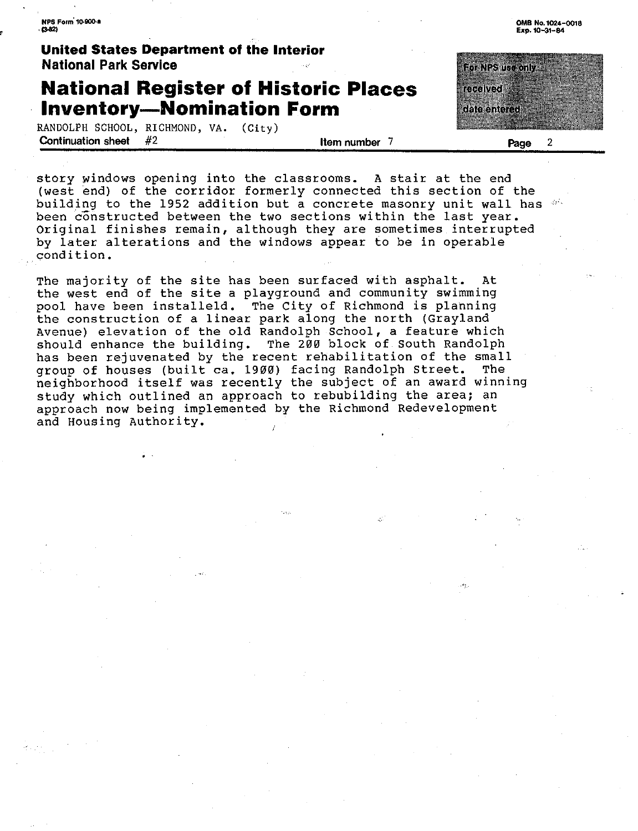**NPS Form' 10.900,a**   $n$ .82)

**United States Department of the Interior National Park Service** 

### **National Register of Historic Places Inventory-Nomination Form**

RANDOLPH SCHOOL, RICHMOND, VA. (City)<br>Continuation sheet  $#2$ **Continuation sheet** #2 **Item number** 7

**0MB No. 1024-0018 Exp. 10-31-84** 

**Bor NPS in confu** recolusti dele enteres

**Page** 2

story windows opening into the classrooms. A stair at the end (west end) of the corridor formerly connected this section of the building to the 1952 addition but a concrete masonry unit wall has  $\frac{d}{dx}$ been constructed between the two sections within the last year. Original finishes remain, although they are sometimes interrupted by later alterations and the windows appear to be in operable condition.

The majority of the site has been surfaced with asphalt. At the west end of the site a playground and community swimming pool have been installeld. The City of Richmond is planning the construction of a linear park along the north (Grayland Avenue) elevation of the old Randolph School, a feature which should enhance the building. The 200 block of South Randolph has been rejuvenated by the recent rehabilitation of the small<br>group of houses (built ca. 1900) facing Randolph Street. The group of houses (built ca. 1900) facing Randolph Street. neighborhood itself was recently the subject of an award winning study which outlined an approach to rebubilding the area; an approach now being implemented by the Richmond Redevelopment and Housing Authority.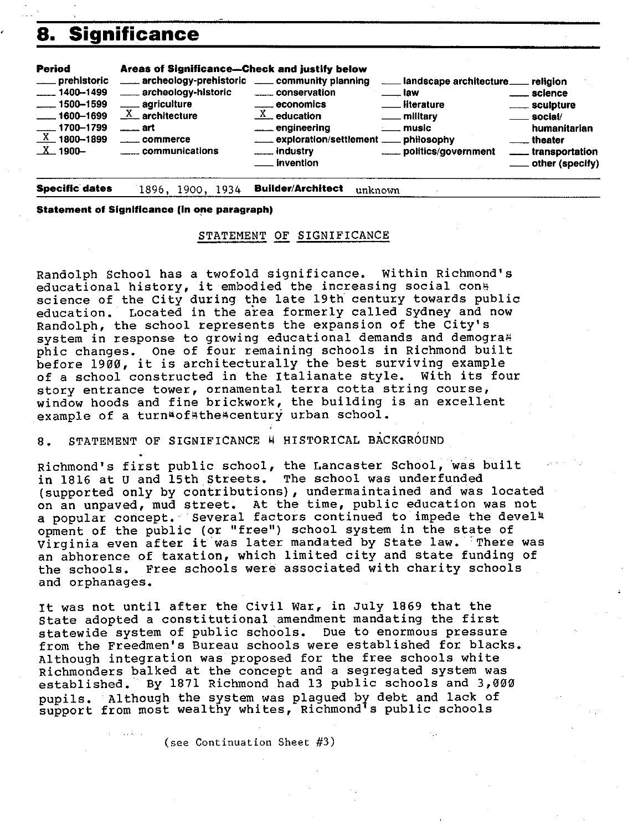### **a. Significance**

| $X$ 1900-<br><b>Electric Limitary</b><br><u>__</u> __transportation<br><b>Example 1</b> invention |
|---------------------------------------------------------------------------------------------------|
|---------------------------------------------------------------------------------------------------|

**Specific- dates**  1896, 1900, 1934 **Builder/Architect** unknown

**Statement of Significance (in one paragraph)** 

#### STATEMENT OF SIGNIFICANCE

Randolph School has a twofold significance. Within Richmond's educational history, it embodied the increasing social con. science of the City during the late 19th century towards public education. Located in the area formerly called Sydney and now Randolph, the school represents the expansion of the City's system in response to growing educational demands and demogra# phic changes. one of four remaining schools in Richmond built before 1900, it is architecturally the best surviving example of a school constructed in the Italianate style. With its four story entrance tower, ornamental terra cotta string course, window hoods and fine brickwork, the building is an excellent example of a turn¤of#the#century urban school.

8. STATEMENT OF SIGNIFICANCE M HISTORICAL BACKGROUND

Richmond's first public school, the Lancaster School, was built in 1816 at u and 15th Streets. The school was underfunded (supported only by contributions), undermaintained and was located on an unpaved, mud street. At the time, public education was not a popular concept. Several factors continued to impede the devel<sup>1</sup> opment of the public (or "free") school system in the state of Virginia even after it was later mandated by State law. There was an abhorence of taxation, which limited city and state funding of the schools. Free schools were associated with charity schools and orphanages.

It was not until after the Civil war, in July 1869 that the state adopted a constitutional amendment mandating the first statewide system of public schools. Due to enormous pressure from the Freedmen's Bureau schools were established for blacks. Although integration was proposed for the free schools white Richmonders balked at the concept and a segregated system was established. By 1871 Richmond had 13 public schools and 3,000 pupils. Although the system was plagued by debt and lack of support from most wealthy whites, Richmond's public schools

(see Continuation Sheet #3)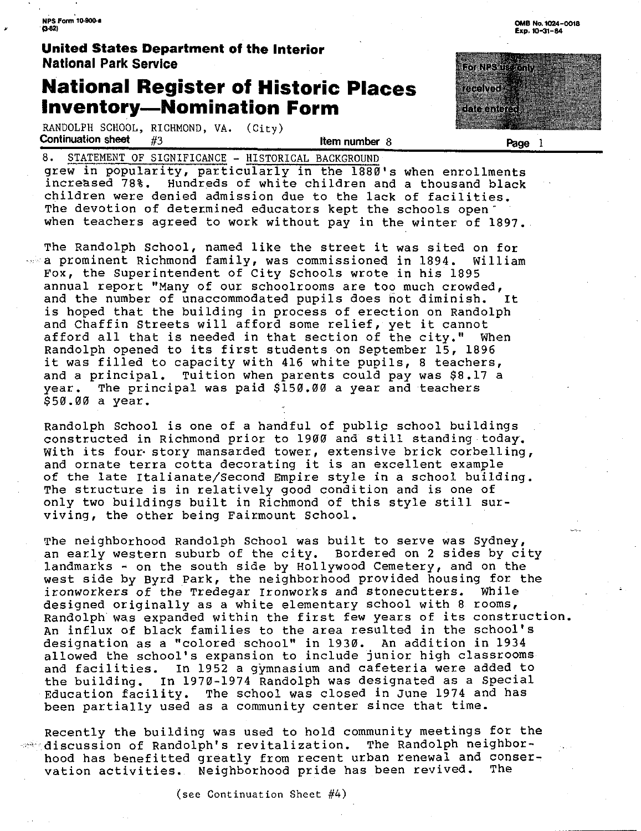, **NPS Form 10-9()0.a**   $(3.82)$ 

### **United States Department of the Interior National Park Service**

### **National Register of Historic Places Inventory-Nomination Form**

RANDOLPH SCHOOL, RICHMOND, VA. (City)<br>**Continuation sheet** #3 **Continuation sheet** #3 **Item number** 8

8. STATEMENT OF SIGNIFICANCE - HISTORICAL BACKGROUND grew in popularity, particularly in the 1880's when enrollments increased 78%. Hundreds of white children and a thousand black children were denied admission due to the lack of facilities. The devotion of determined educators kept the schools openwhen teachers agreed to work without pay in the winter of 1897.

The Randolph School, named like the street it was sited on for  $\sim$  a prominent Richmond family, was commissioned in 1894. William Fox, the superintendent of City Schools wrote in his 1895 annual report "Many of our schoolrooms are too much crowded, and the number of unaccommodated pupils does not diminish. It is hoped that the building in process of erection on Randolph and Chaffin Streets will afford some relief, yet it cannot afford all that is needed in that section of the city." When Randolph opened to its first students on September 15, 1896 it was filled to capacity with 416 white pupils, 8 teachers, and a principal. Tuition when parents could pay was \$8.17 a year. The principal was paid \$150.00 a year and teachers The principal was paid \$150.00 a year and teachers \$50.00 a year.

Randolph School is one of a handful of publip school buildings constructed in Richmond prior to 1900 and still standing.today. With its four story mansarded tower, extensive brick corbelling, and ornate terra cotta decorating it is an excellent example of the late Italianate/Second Empire style in a school building. The structure is in relatively good condition and is one of only two buildings built in Richmond of this style still surviving, the other being Fairmount School. ·

The neighborhood Randolph School was built to serve was Sydney, an early western suburb of the city. Bordered on 2 sides by city landmarks  $\sim$  on the south side by Hollywood Cemetery, and on the west side by Byrd Park, the neighborhood provided housing for the ironworkers of the Tredegar Ironworks and stonecutters. While ironworkers of the Tredegar Ironworks and stonecutters. designed originally as a white elementary school with 8 rooms, Randolph was expanded within the first few years of its construction. An influx of black families to the area resulted in the school's designation as a "colored school" in 1930. An addition in 1934 allowed the school's expansion to include junior high classrooms and facilities. In 1952 a gymnasium and cafeteria were added to the building. In 1970-1974 Randolph was designated as a Special Education facility, The school was closed in June 1974 and has been partially used as a community center since that time.

Recently the building was used to hold community meetings for the  $-$  discussion of Randolph's revitalization. The Randolph neighborhood has benefitted greatly from recent urban renewal and conser-<br>vation activities. Neighborhood pride has been revived. The vation activities. Neighborhood pride has been revived.



**Page** 1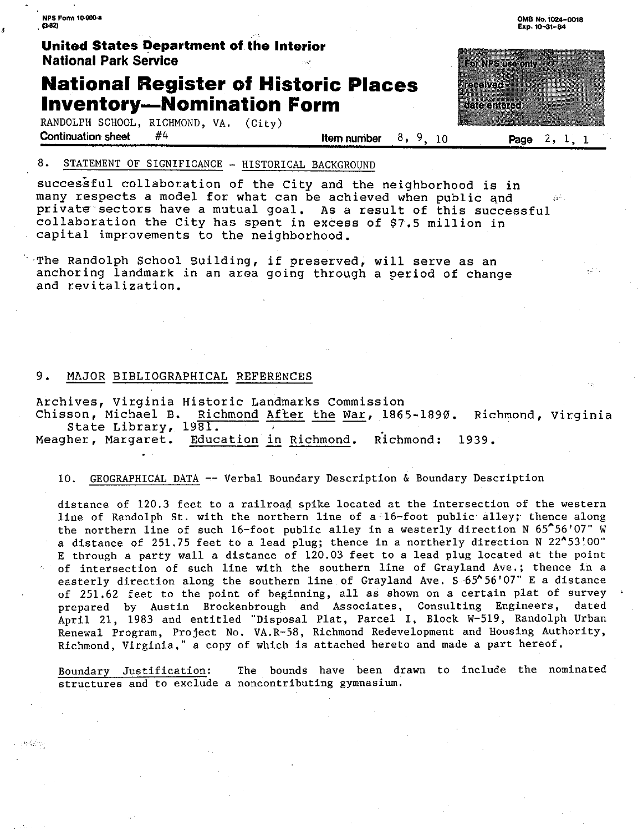**NPS fom, 10·900-•**   $(3.82)$ 

 $\pmb{\cdot}$ 

ر با بار ايم.<br>م

#### **United States Department of. the Interior National Park Service**

### **National Register of Historic Places Inventory-Nomination Form**

RANDOLPH SCHOOL, RICHMOND, VA. (City)<br>**Continuation sheet**  $#4$ **Continuation sheet** #4 **Item number** 8, 9, 10 **Page** 2, 1, 1

#### 8. STATEMENT OF SIGNIFICANCE - HISTORICAL BACKGROUND

successful collaboration of the City and the neighborhood is in many respects a model for what can be achieved when public and private sectors have a mutual goal. As a result of this successful collaboration the City has spent in excess of \$7.5 million in capital improvements to the neighborhood.

The Randolph School Building, if preserved, will serve as an anchoring landmark in an area going through a period of change and revitalization.

#### 9. MAJOR BIBLIOGRAPHICAL REFERENCES

Archives, Virginia Historic Landmarks Commission Richmond After the War, 1865-1890. Richmond, Virginia State Library, 1981.

Meagher, Margaret. Education in Richmond. Richmond: 1939.

10. GEOGRAPHICAL DATA -- Verbal Boundary Description & Boundary Description

distance of 120.3 feet to a railroad spike located at the intersection of the western line of Randolph St. with the northern line of a· 16-foot public alley; thence along the northern line of such 16-foot public alley in a westerly direction N  $65^{\circ}56'07''$  W a distance of 251.75 feet to a lead plug; thence in a northerly direction N 22^53'.00" E through a party wall a distance of 120.03 feet to a lead plug located at the point of intersection of such line with the southern line of Grayland Ave.; thence in a easterly direction along the southern line of Grayland Ave. S 65<sup>\*</sup>56'07" E a distance of 251.62 feet to the point of beginning, all as shown on a certain plat of survey<br>prepared by Austin Brockenbrough and Associates. Consulting Engineers, dated prepared by Austin Brockenbrough and Associates, Consulting Engineers, April 21, 1983 and entitled "Disposal Plat, Parcel I, Block W-519, Randolph Urban Renewal Program, Project No. VA.R-58, Richmond Redevelopment and Housing Authority, Richmond, Virginia," a copy of which is attached hereto and made a part hereof.

Boundary Justification: The bounds have been drawn to include the nominated **structures and to exclude a noncontributing gymnasium.** 

**0MB No, 1024-0018 Exp. 10-31-84** 

ោសនោះកាល

วาวกับการ

date entered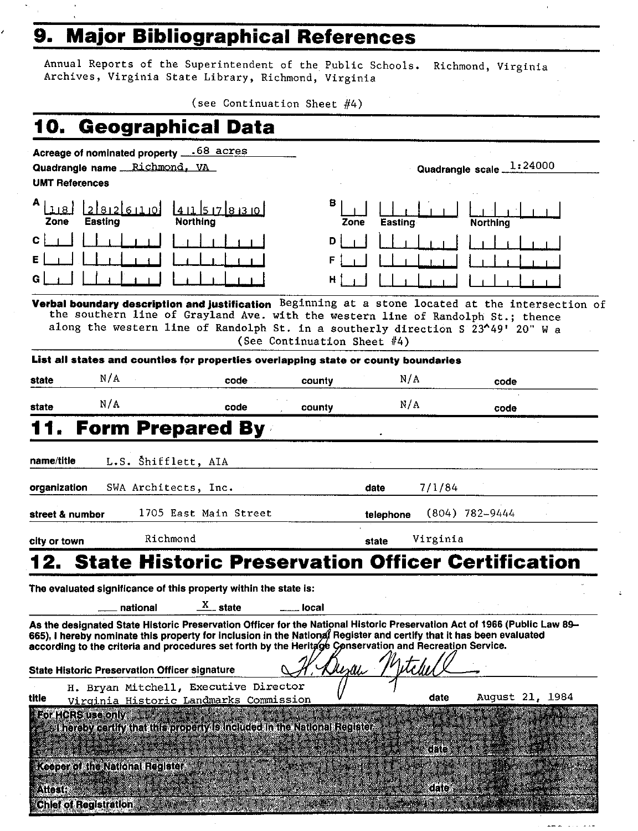# , **9. Major Bibliographical References**

Annual Reports of the Superintendent of the Public Schools, Richmond, Virginia Archives, Virginia State Library, Richmond, Virginia

(see Continuation Sheet #4)

|                              | 10. Geographical Data                                                                                                                                                                                                                                                                                                                                                                                       |                                             |      |                             |        |           |          |                    |                 |  |
|------------------------------|-------------------------------------------------------------------------------------------------------------------------------------------------------------------------------------------------------------------------------------------------------------------------------------------------------------------------------------------------------------------------------------------------------------|---------------------------------------------|------|-----------------------------|--------|-----------|----------|--------------------|-----------------|--|
|                              | Acreage of nominated property ____68 acres                                                                                                                                                                                                                                                                                                                                                                  |                                             |      |                             |        |           |          |                    |                 |  |
|                              | Quadrangle name Richmond, VA                                                                                                                                                                                                                                                                                                                                                                                |                                             |      |                             |        |           |          | Quadrangle scale_  | 1:24000         |  |
| <b>UMT References</b>        |                                                                                                                                                                                                                                                                                                                                                                                                             |                                             |      |                             |        |           |          |                    |                 |  |
| 1181<br>Zone                 | لقبينهاءتهادا<br><b>Easting</b>                                                                                                                                                                                                                                                                                                                                                                             | 141157830<br>Northing                       |      | 8                           | Zone   | Easting   |          | Northina           |                 |  |
| с                            |                                                                                                                                                                                                                                                                                                                                                                                                             |                                             |      | D                           |        |           |          |                    |                 |  |
|                              |                                                                                                                                                                                                                                                                                                                                                                                                             |                                             |      | F                           |        |           |          |                    |                 |  |
|                              |                                                                                                                                                                                                                                                                                                                                                                                                             |                                             |      | н                           |        |           |          |                    |                 |  |
|                              | Verbal boundary description and justification Beginning at a stone located at the intersection of<br>the southern line of Grayland Ave. with the western line of Randolph St.; thence<br>along the western line of Randolph St. in a southerly direction S 23^49' 20" W a                                                                                                                                   |                                             |      | (See Continuation Sheet #4) |        |           |          |                    |                 |  |
|                              | List all states and counties for properties overlapping state or county boundaries                                                                                                                                                                                                                                                                                                                          |                                             |      |                             |        |           |          |                    |                 |  |
| state                        | N/A                                                                                                                                                                                                                                                                                                                                                                                                         |                                             | code | county                      |        | N/A       |          | code               |                 |  |
| state                        | N/A                                                                                                                                                                                                                                                                                                                                                                                                         |                                             | code | county                      |        | N/A       |          | code               |                 |  |
|                              | <b>Form Prepared By</b>                                                                                                                                                                                                                                                                                                                                                                                     |                                             |      |                             |        |           |          |                    |                 |  |
| name/title<br>organization   |                                                                                                                                                                                                                                                                                                                                                                                                             | L.S. Shifflett, AIA<br>SWA Architects, Inc. |      |                             |        | date      | 7/1/84   |                    |                 |  |
| street & number              |                                                                                                                                                                                                                                                                                                                                                                                                             | 1705 East Main Street                       |      |                             |        | telephone |          | $(804) 782 - 9444$ |                 |  |
| city or town                 |                                                                                                                                                                                                                                                                                                                                                                                                             | Richmond                                    |      |                             |        | state     | Virginia |                    |                 |  |
|                              | 2. State Historic Preservation Officer Certification                                                                                                                                                                                                                                                                                                                                                        |                                             |      |                             |        |           |          |                    |                 |  |
|                              | The evaluated significance of this property within the state is:                                                                                                                                                                                                                                                                                                                                            |                                             |      |                             |        |           |          |                    |                 |  |
|                              | national                                                                                                                                                                                                                                                                                                                                                                                                    | $\frac{X}{X}$ state                         |      | local                       |        |           |          |                    |                 |  |
|                              | As the designated State Historic Preservation Officer for the National Historic Preservation Act of 1966 (Public Law 89-<br>665), I hereby nominate this property for inclusion in the National Register and certify that it has been evaluated<br>according to the criteria and procedures set forth by the Heritage Conservation and Recreation Service.<br>State Historic Preservation Officer signature |                                             |      |                             | Merlli |           |          |                    |                 |  |
|                              | H. Bryan Mitchell, Executive Director                                                                                                                                                                                                                                                                                                                                                                       |                                             |      |                             |        |           |          |                    |                 |  |
| title                        | Virginia Historic Landmarks Commission                                                                                                                                                                                                                                                                                                                                                                      |                                             |      |                             |        |           | date     |                    | August 21, 1984 |  |
|                              | For HCRS use only 1999<br>I hereby certify that this property is included in the National Register.                                                                                                                                                                                                                                                                                                         |                                             |      |                             |        |           | date     |                    |                 |  |
|                              | <b>Keeper of the National Register</b>                                                                                                                                                                                                                                                                                                                                                                      |                                             |      |                             |        |           |          |                    |                 |  |
| Attest:                      |                                                                                                                                                                                                                                                                                                                                                                                                             |                                             |      |                             |        |           | date i   |                    |                 |  |
| <b>Chief of Registration</b> |                                                                                                                                                                                                                                                                                                                                                                                                             |                                             |      |                             |        |           |          |                    |                 |  |